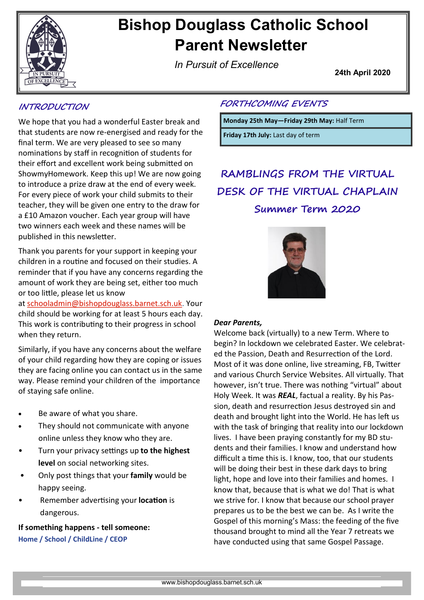

# **Bishop Douglass Catholic School Parent Newsletter**

*In Pursuit of Excellence*

**24th April 2020**

### **INTRODUCTION**

We hope that you had a wonderful Easter break and that students are now re-energised and ready for the final term. We are very pleased to see so many nominations by staff in recognition of students for their effort and excellent work being submitted on ShowmyHomework. Keep this up! We are now going to introduce a prize draw at the end of every week. For every piece of work your child submits to their teacher, they will be given one entry to the draw for a £10 Amazon voucher. Each year group will have two winners each week and these names will be published in this newsletter.

Thank you parents for your support in keeping your children in a routine and focused on their studies. A reminder that if you have any concerns regarding the amount of work they are being set, either too much or too little, please let us know

at [schooladmin@bishopdouglass.barnet.sch.uk.](mailto:schooladmin@bishopdouglass.barnet.sch.uk) Your child should be working for at least 5 hours each day. This work is contributing to their progress in school when they return.

Similarly, if you have any concerns about the welfare of your child regarding how they are coping or issues they are facing online you can contact us in the same way. Please remind your children of the importance of staying safe online.

- Be aware of what you share.
- They should not communicate with anyone online unless they know who they are.
- Turn your privacy settings up **to the highest level** on social networking sites.
- Only post things that your **family** would be happy seeing.
- Remember advertising your **location** is dangerous.

**If something happens - tell someone: Home / School / ChildLine / CEOP**

### **FORTHCOMING EVENTS**

**Monday 25th May—Friday 29th May:** Half Term

**Friday 17th July:** Last day of term

**RAMBLINGS FROM THE VIRTUAL DESK OF THE VIRTUAL CHAPLAIN Summer Term 2020**



### *Dear Parents,*

Welcome back (virtually) to a new Term. Where to begin? In lockdown we celebrated Easter. We celebrated the Passion, Death and Resurrection of the Lord. Most of it was done online, live streaming, FB, Twitter and various Church Service Websites. All virtually. That however, isn't true. There was nothing "virtual" about Holy Week. It was *REAL*, factual a reality. By his Passion, death and resurrection Jesus destroyed sin and death and brought light into the World. He has left us with the task of bringing that reality into our lockdown lives. I have been praying constantly for my BD students and their families. I know and understand how difficult a time this is. I know, too, that our students will be doing their best in these dark days to bring light, hope and love into their families and homes. I know that, because that is what we do! That is what we strive for. I know that because our school prayer prepares us to be the best we can be. As I write the Gospel of this morning's Mass: the feeding of the five thousand brought to mind all the Year 7 retreats we have conducted using that same Gospel Passage.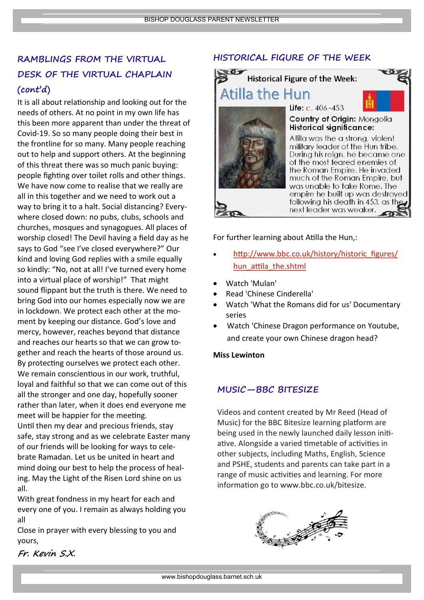# **RAMBLINGS FROM THE VIRTUAL DESK OF THE VIRTUAL CHAPLAIN (cont'd)**

It is all about relationship and looking out for the needs of others. At no point in my own life has this been more apparent than under the threat of Covid-19. So so many people doing their best in the frontline for so many. Many people reaching out to help and support others. At the beginning of this threat there was so much panic buying: people fighting over toilet rolls and other things. We have now come to realise that we really are all in this together and we need to work out a way to bring it to a halt. Social distancing? Everywhere closed down: no pubs, clubs, schools and churches, mosques and synagogues. All places of worship closed! The Devil having a field day as he says to God "see I've closed everywhere?" Our kind and loving God replies with a smile equally so kindly: "No, not at all! I've turned every home into a virtual place of worship!" That might sound flippant but the truth is there. We need to bring God into our homes especially now we are in lockdown. We protect each other at the moment by keeping our distance. God's love and mercy, however, reaches beyond that distance and reaches our hearts so that we can grow together and reach the hearts of those around us. By protecting ourselves we protect each other. We remain conscientious in our work, truthful, loyal and faithful so that we can come out of this all the stronger and one day, hopefully sooner rather than later, when it does end everyone me meet will be happier for the meeting. Until then my dear and precious friends, stay safe, stay strong and as we celebrate Easter many of our friends will be looking for ways to celebrate Ramadan. Let us be united in heart and mind doing our best to help the process of healing. May the Light of the Risen Lord shine on us all.

With great fondness in my heart for each and every one of you. I remain as always holding you all

Close in prayer with every blessing to you and yours,

### **Fr. Kevin S.X.**

### **HISTORICAL FIGURE OF THE WEEK**



For further learning about Atilla the Hun,:

- [http://www.bbc.co.uk/history/historic\\_figures/](http://www.bbc.co.uk/history/historic_figures/hun_attila_the.shtml) [hun\\_attila\\_the.shtml](http://www.bbc.co.uk/history/historic_figures/hun_attila_the.shtml)
- Watch 'Mulan'
- Read 'Chinese Cinderella'
- Watch 'What the Romans did for us' Documentary series
- Watch 'Chinese Dragon performance on Youtube, and create your own Chinese dragon head?

### **Miss Lewinton**

### **MUSIC—BBC BITESIZE**

Videos and content created by Mr Reed (Head of Music) for the BBC Bitesize learning platform are being used in the newly launched daily lesson initiative. Alongside a varied timetable of activities in other subjects, including Maths, English, Science and PSHE, students and parents can take part in a range of music activities and learning. For more information go to www.bbc.co.uk/bitesize.

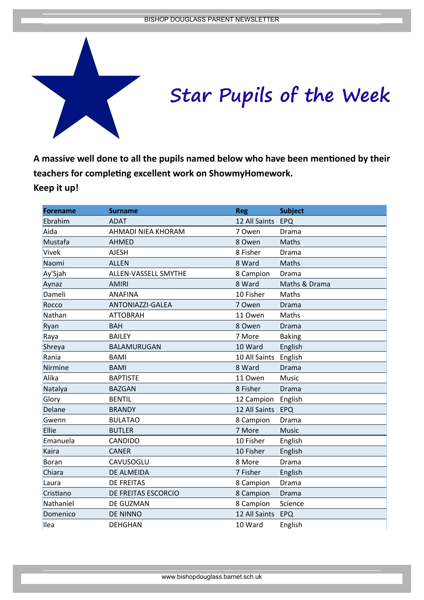

# **Star Pupils of the Week**

**A massive well done to all the pupils named below who have been mentioned by their teachers for completing excellent work on ShowmyHomework. Keep it up!** 

| <b>Forename</b> | <b>Surname</b>       | <b>Reg</b>        | <b>Subject</b> |
|-----------------|----------------------|-------------------|----------------|
| Ebrahim         | <b>ADAT</b>          | 12 All Saints EPQ |                |
| Aida            | AHMADI NIEA KHORAM   | 7 Owen            | Drama          |
| Mustafa         | AHMED                | 8 Owen            | Maths          |
| <b>Vivek</b>    | <b>AJESH</b>         | 8 Fisher          | Drama          |
| Naomi           | <b>ALLEN</b>         | 8 Ward            | Maths          |
| Ay'Sjah         | ALLEN-VASSELL SMYTHE | 8 Campion         | Drama          |
| Aynaz           | <b>AMIRI</b>         | 8 Ward            | Maths & Drama  |
| Dameli          | <b>ANAFINA</b>       | 10 Fisher         | Maths          |
| Rocco           | ANTONIAZZI-GALEA     | 7 Owen            | Drama          |
| Nathan          | <b>ATTOBRAH</b>      | 11 Owen           | Maths          |
| Ryan            | <b>BAH</b>           | 8 Owen            | Drama          |
| Raya            | <b>BAILEY</b>        | 7 More            | <b>Baking</b>  |
| Shreya          | BALAMURUGAN          | 10 Ward           | English        |
| Rania           | <b>BAMI</b>          | 10 All Saints     | English        |
| Nirmine         | <b>BAMI</b>          | 8 Ward            | Drama          |
| Alika           | <b>BAPTISTE</b>      | 11 Owen           | Music          |
| Natalya         | <b>BAZGAN</b>        | 8 Fisher          | Drama          |
| Glory           | <b>BENTIL</b>        | 12 Campion        | English        |
| Delane          | <b>BRANDY</b>        | 12 All Saints     | EPQ            |
| Gwenn           | <b>BULATAO</b>       | 8 Campion         | Drama          |
| Ellie           | <b>BUTLER</b>        | 7 More            | <b>Music</b>   |
| Emanuela        | CANDIDO              | 10 Fisher         | English        |
| Kaira           | <b>CANER</b>         | 10 Fisher         | English        |
| Boran           | CAVUSOGLU            | 8 More            | Drama          |
| Chiara          | DE ALMEIDA           | 7 Fisher          | English        |
| Laura           | <b>DE FREITAS</b>    | 8 Campion         | Drama          |
| Cristiano       | DE FREITAS ESCORCIO  | 8 Campion         | Drama          |
| Nathaniel       | DE GUZMAN            | 8 Campion         | Science        |
| Domenico        | <b>DE NINNO</b>      | 12 All Saints     | EPQ            |
| Ilea            | <b>DEHGHAN</b>       | 10 Ward           | English        |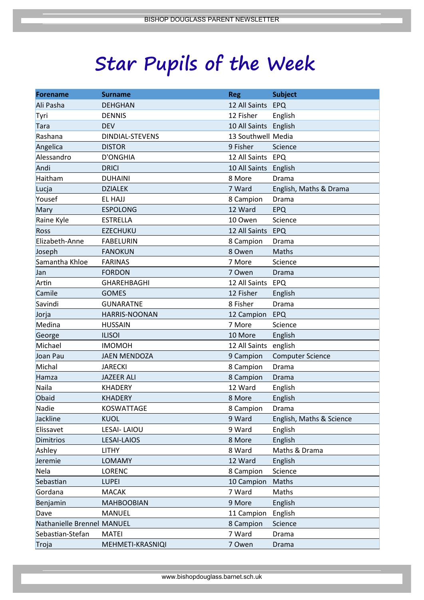# **Star Pupils of the Week**

| <b>Forename</b>            | <b>Surname</b>         | <b>Reg</b>            | <b>Subject</b>           |
|----------------------------|------------------------|-----------------------|--------------------------|
| Ali Pasha                  | <b>DEHGHAN</b>         | 12 All Saints         | EPQ                      |
| Tyri                       | <b>DENNIS</b>          | 12 Fisher             | English                  |
| Tara                       | <b>DEV</b>             | 10 All Saints English |                          |
| Rashana                    | <b>DINDIAL-STEVENS</b> | 13 Southwell Media    |                          |
| Angelica                   | <b>DISTOR</b>          | 9 Fisher              | Science                  |
| Alessandro                 | <b>D'ONGHIA</b>        | 12 All Saints EPQ     |                          |
| Andi                       | <b>DRICI</b>           | 10 All Saints English |                          |
| Haitham                    | <b>DUHAINI</b>         | 8 More                | Drama                    |
| Lucja                      | <b>DZIALEK</b>         | 7 Ward                | English, Maths & Drama   |
| Yousef                     | EL HAJJ                | 8 Campion             | Drama                    |
| Mary                       | <b>ESPOLONG</b>        | 12 Ward               | <b>EPQ</b>               |
| Raine Kyle                 | <b>ESTRELLA</b>        | 10 Owen               | Science                  |
| Ross                       | <b>EZECHUKU</b>        | 12 All Saints         | EPQ                      |
| Elizabeth-Anne             | <b>FABELURIN</b>       | 8 Campion             | Drama                    |
| Joseph                     | <b>FANOKUN</b>         | 8 Owen                | Maths                    |
| Samantha Khloe             | <b>FARINAS</b>         | 7 More                | Science                  |
| Jan                        | <b>FORDON</b>          | 7 Owen                | Drama                    |
| Artin                      | <b>GHAREHBAGHI</b>     | 12 All Saints         | EPQ                      |
| Camile                     | <b>GOMES</b>           | 12 Fisher             | English                  |
| Savindi                    | <b>GUNARATNE</b>       | 8 Fisher              | Drama                    |
| Jorja                      | HARRIS-NOONAN          | 12 Campion            | EPQ                      |
| Medina                     | <b>HUSSAIN</b>         | 7 More                | Science                  |
| George                     | <b>ILISOI</b>          | 10 More               | English                  |
| Michael                    | <b>IMOMOH</b>          | 12 All Saints         | english                  |
| Joan Pau                   | <b>JAEN MENDOZA</b>    | 9 Campion             | <b>Computer Science</b>  |
| Michal                     | <b>JARECKI</b>         | 8 Campion             | Drama                    |
| Hamza                      | <b>JAZEER ALI</b>      | 8 Campion             | Drama                    |
| Naila                      | <b>KHADERY</b>         | 12 Ward               | English                  |
| Obaid                      | <b>KHADERY</b>         | 8 More                | English                  |
| Nadie                      | <b>KOSWATTAGE</b>      | 8 Campion             | Drama                    |
| Jackline                   | <b>KUOL</b>            | 9 Ward                | English, Maths & Science |
| Elissavet                  | <b>LESAI- LAIOU</b>    | 9 Ward                | English                  |
| <b>Dimitrios</b>           | LESAI-LAIOS            | 8 More                | English                  |
| Ashley                     | <b>LITHY</b>           | 8 Ward                | Maths & Drama            |
| Jeremie                    | <b>LOMAMY</b>          | 12 Ward               | English                  |
| Nela                       | <b>LORENC</b>          | 8 Campion             | Science                  |
| Sebastian                  | <b>LUPEI</b>           | 10 Campion            | Maths                    |
| Gordana                    | <b>MACAK</b>           | 7 Ward                | Maths                    |
| Benjamin                   | <b>MAHBOOBIAN</b>      | 9 More                | English                  |
| Dave                       | <b>MANUEL</b>          | 11 Campion            | English                  |
| Nathanielle Brennel MANUEL |                        | 8 Campion             | Science                  |
| Sebastian-Stefan           | <b>MATEI</b>           | 7 Ward                | Drama                    |
| Troja                      | MEHMETI-KRASNIQI       | 7 Owen                | Drama                    |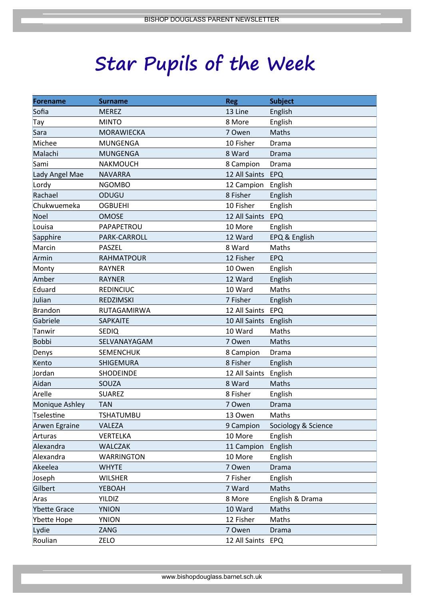# **Star Pupils of the Week**

| <b>Forename</b>     | <b>Surname</b>    | <b>Reg</b>    | <b>Subject</b>      |
|---------------------|-------------------|---------------|---------------------|
| Sofia               | <b>MEREZ</b>      | 13 Line       | English             |
| Tay                 | <b>MINTO</b>      | 8 More        | English             |
| Sara                | <b>MORAWIECKA</b> | 7 Owen        | Maths               |
| Michee              | <b>MUNGENGA</b>   | 10 Fisher     | Drama               |
| Malachi             | <b>MUNGENGA</b>   | 8 Ward        | Drama               |
| Sami                | <b>NAKMOUCH</b>   | 8 Campion     | Drama               |
| Lady Angel Mae      | <b>NAVARRA</b>    | 12 All Saints | EPQ                 |
| Lordy               | <b>NGOMBO</b>     | 12 Campion    | English             |
| Rachael             | ODUGU             | 8 Fisher      | English             |
| Chukwuemeka         | <b>OGBUEHI</b>    | 10 Fisher     | English             |
| Noel                | <b>OMOSE</b>      | 12 All Saints | EPQ                 |
| Louisa              | PAPAPETROU        | 10 More       | English             |
| Sapphire            | PARK-CARROLL      | 12 Ward       | EPQ & English       |
| Marcin              | PASZEL            | 8 Ward        | Maths               |
| Armin               | <b>RAHMATPOUR</b> | 12 Fisher     | <b>EPQ</b>          |
| Monty               | <b>RAYNER</b>     | 10 Owen       | English             |
| Amber               | <b>RAYNER</b>     | 12 Ward       | English             |
| Eduard              | <b>REDINCIUC</b>  | 10 Ward       | Maths               |
| Julian              | REDZIMSKI         | 7 Fisher      | English             |
| <b>Brandon</b>      | RUTAGAMIRWA       | 12 All Saints | EPQ                 |
| Gabriele            | <b>SAPKAITE</b>   | 10 All Saints | English             |
| Tanwir              | SEDIQ             | 10 Ward       | Maths               |
| <b>Bobbi</b>        | SELVANAYAGAM      | 7 Owen        | Maths               |
| Denys               | <b>SEMENCHUK</b>  | 8 Campion     | Drama               |
| Kento               | SHIGEMURA         | 8 Fisher      | English             |
| Jordan              | <b>SHODEINDE</b>  | 12 All Saints | English             |
| Aidan               | SOUZA             | 8 Ward        | Maths               |
| Arelle              | <b>SUAREZ</b>     | 8 Fisher      | English             |
| Monique Ashley      | <b>TAN</b>        | 7 Owen        | Drama               |
| Tselestine          | TSHATUMBU         | 13 Owen       | Maths               |
| Arwen Egraine       | VALEZA            | 9 Campion     | Sociology & Science |
| Arturas             | <b>VERTELKA</b>   | 10 More       | English             |
| Alexandra           | <b>WALCZAK</b>    | 11 Campion    | English             |
| Alexandra           | <b>WARRINGTON</b> | 10 More       | English             |
| Akeelea             | <b>WHYTE</b>      | 7 Owen        | <b>Drama</b>        |
| Joseph              | <b>WILSHER</b>    | 7 Fisher      | English             |
| Gilbert             | YEBOAH            | 7 Ward        | Maths               |
| Aras                | <b>YILDIZ</b>     | 8 More        | English & Drama     |
| <b>Ybette Grace</b> | <b>YNION</b>      | 10 Ward       | Maths               |
| Ybette Hope         | <b>YNION</b>      | 12 Fisher     | Maths               |
| Lydie               | ZANG              | 7 Owen        | Drama               |
| Roulian             | ZELO              | 12 All Saints | <b>EPQ</b>          |